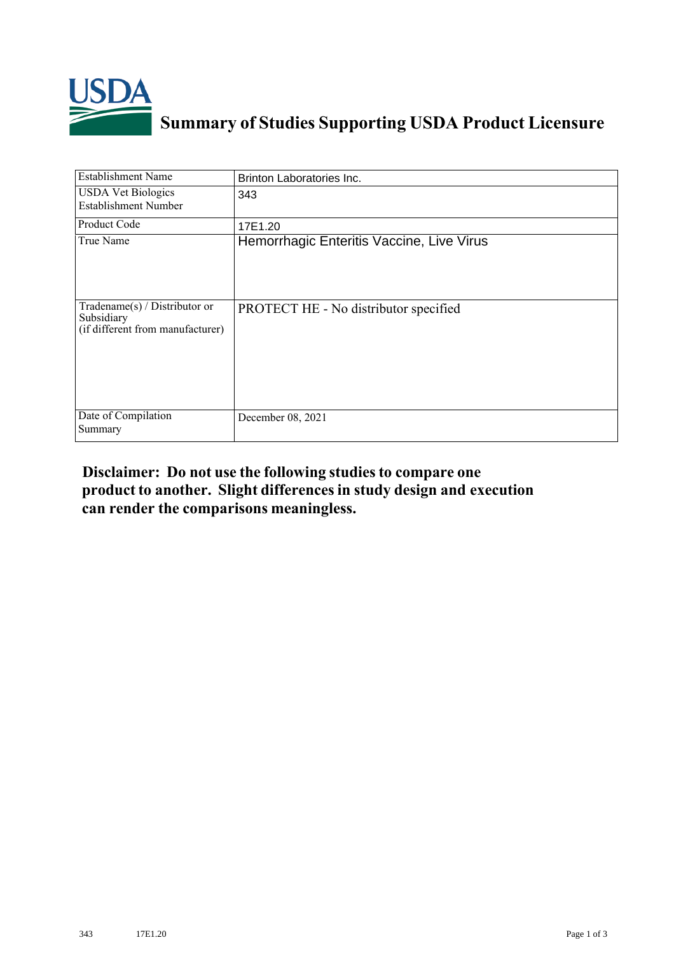

## **Summary of Studies Supporting USDA Product Licensure**

| <b>Establishment Name</b>                                                         | Brinton Laboratories Inc.                 |
|-----------------------------------------------------------------------------------|-------------------------------------------|
| <b>USDA Vet Biologics</b><br><b>Establishment Number</b>                          | 343                                       |
| Product Code                                                                      | 17E1.20                                   |
| True Name                                                                         | Hemorrhagic Enteritis Vaccine, Live Virus |
| $Tradename(s) / Distributor$ or<br>Subsidiary<br>(if different from manufacturer) | PROTECT HE - No distributor specified     |
| Date of Compilation<br>Summary                                                    | December 08, 2021                         |

## **Disclaimer: Do not use the following studiesto compare one product to another. Slight differencesin study design and execution can render the comparisons meaningless.**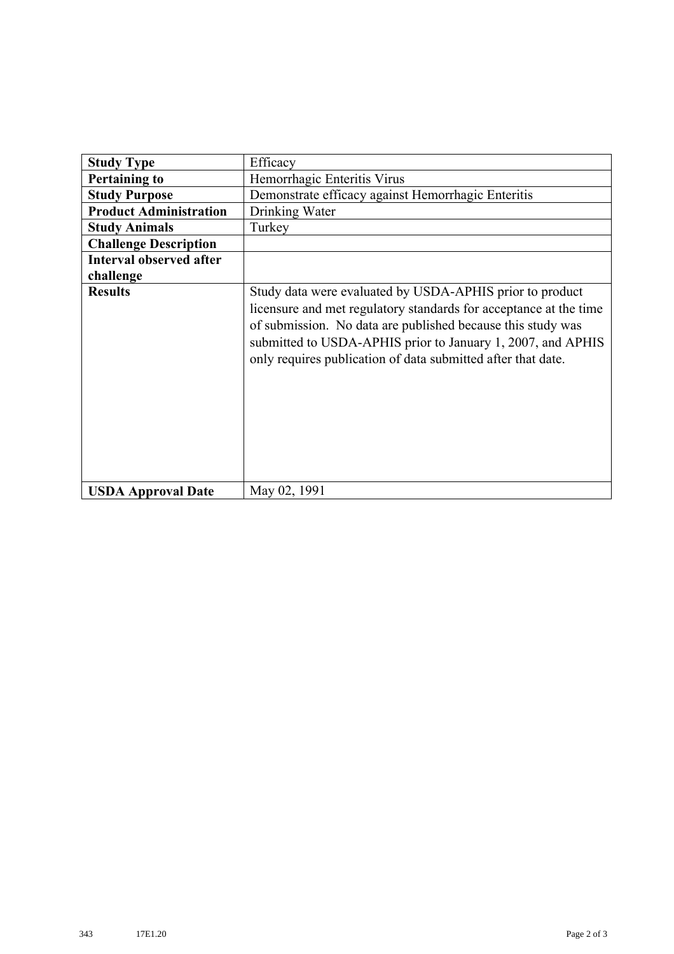| <b>Study Type</b>              | Efficacy                                                                                                                                                                                                                                                                                                                    |
|--------------------------------|-----------------------------------------------------------------------------------------------------------------------------------------------------------------------------------------------------------------------------------------------------------------------------------------------------------------------------|
| <b>Pertaining to</b>           | Hemorrhagic Enteritis Virus                                                                                                                                                                                                                                                                                                 |
| <b>Study Purpose</b>           | Demonstrate efficacy against Hemorrhagic Enteritis                                                                                                                                                                                                                                                                          |
| <b>Product Administration</b>  | Drinking Water                                                                                                                                                                                                                                                                                                              |
| <b>Study Animals</b>           | Turkey                                                                                                                                                                                                                                                                                                                      |
| <b>Challenge Description</b>   |                                                                                                                                                                                                                                                                                                                             |
| <b>Interval observed after</b> |                                                                                                                                                                                                                                                                                                                             |
| challenge                      |                                                                                                                                                                                                                                                                                                                             |
| <b>Results</b>                 | Study data were evaluated by USDA-APHIS prior to product<br>licensure and met regulatory standards for acceptance at the time<br>of submission. No data are published because this study was<br>submitted to USDA-APHIS prior to January 1, 2007, and APHIS<br>only requires publication of data submitted after that date. |
| <b>USDA Approval Date</b>      | May 02, 1991                                                                                                                                                                                                                                                                                                                |